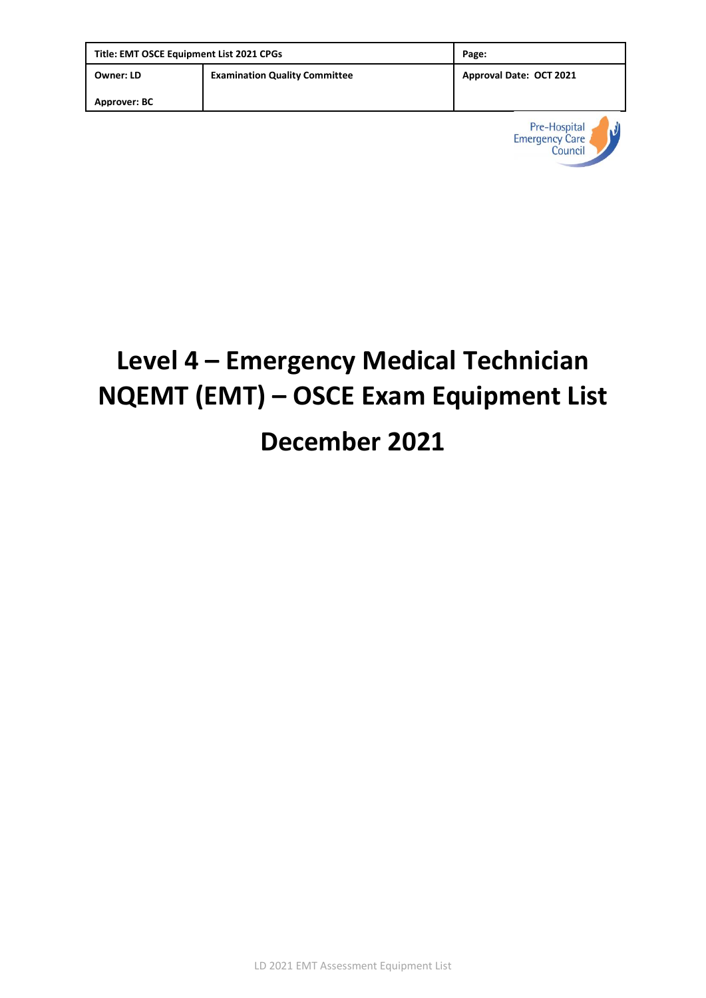| Title: EMT OSCE Equipment List 2021 CPGs |                                      | Page:                   |
|------------------------------------------|--------------------------------------|-------------------------|
| <b>Owner: LD</b>                         | <b>Examination Quality Committee</b> | Approval Date: OCT 2021 |
| Approver: BC                             |                                      |                         |



# **Level 4 – Emergency Medical Technician NQEMT (EMT) – OSCE Exam Equipment List December 2021**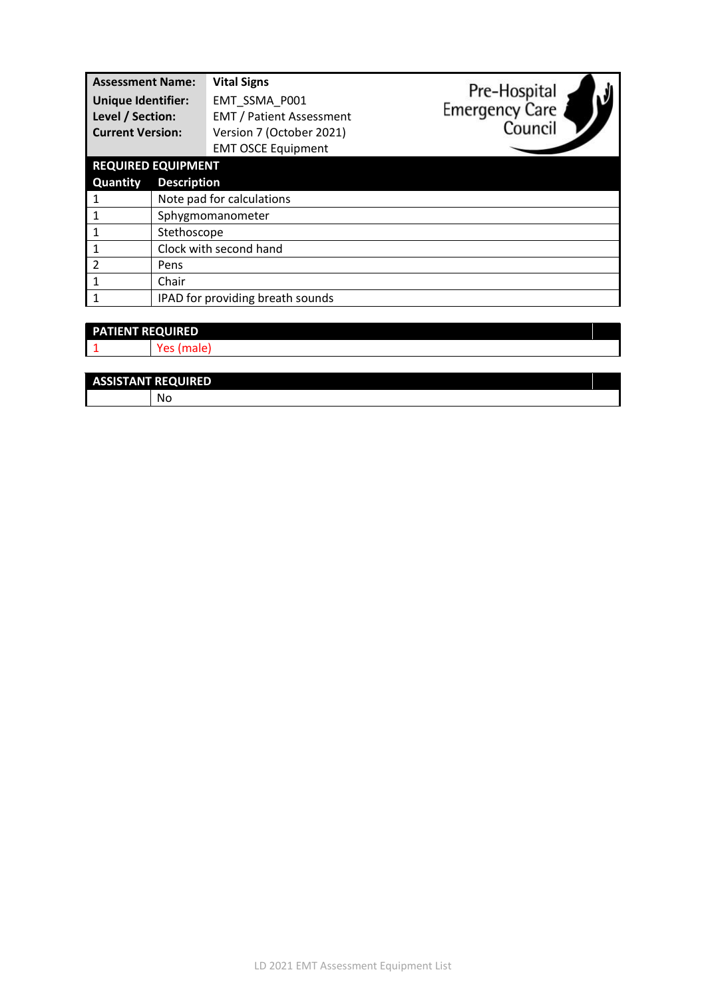| <b>Assessment Name:</b><br><b>Unique Identifier:</b><br>Level / Section:<br><b>Current Version:</b> |                                  | <b>Vital Signs</b><br>EMT SSMA P001<br><b>EMT / Patient Assessment</b><br>Version 7 (October 2021)<br><b>EMT OSCE Equipment</b> | Pre-Hospital<br><b>Emergency Care</b><br>Council |
|-----------------------------------------------------------------------------------------------------|----------------------------------|---------------------------------------------------------------------------------------------------------------------------------|--------------------------------------------------|
| <b>REQUIRED EQUIPMENT</b>                                                                           |                                  |                                                                                                                                 |                                                  |
| <b>Quantity</b>                                                                                     | <b>Description</b>               |                                                                                                                                 |                                                  |
|                                                                                                     | Note pad for calculations        |                                                                                                                                 |                                                  |
|                                                                                                     | Sphygmomanometer                 |                                                                                                                                 |                                                  |
|                                                                                                     | Stethoscope                      |                                                                                                                                 |                                                  |
|                                                                                                     | Clock with second hand           |                                                                                                                                 |                                                  |
| $\mathfrak{p}$                                                                                      | Pens                             |                                                                                                                                 |                                                  |
|                                                                                                     | Chair                            |                                                                                                                                 |                                                  |
|                                                                                                     | IPAD for providing breath sounds |                                                                                                                                 |                                                  |

| <b>PATIENT REQUIRED</b> |    |  |
|-------------------------|----|--|
|                         | c. |  |
|                         |    |  |

| <b>ASSISTANT REQUIRED</b> |
|---------------------------|
| - Nu                      |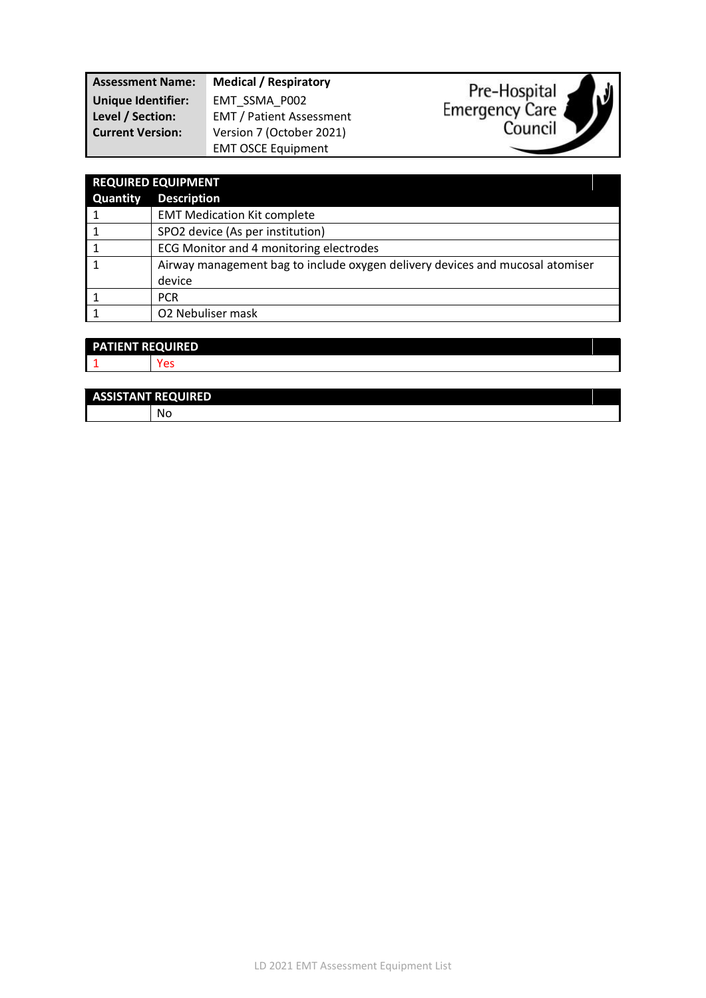| <b>Assessment Name:</b>   | <b>Medical / Respiratory</b>    |  |
|---------------------------|---------------------------------|--|
| <b>Unique Identifier:</b> | EMT SSMA P002                   |  |
| Level / Section:          | <b>EMT / Patient Assessment</b> |  |
| <b>Current Version:</b>   | Version 7 (October 2021)        |  |
|                           | <b>EMT OSCE Equipment</b>       |  |



 $\mathcal{V}$ 



# **PATIENT REQUIRED**

1 Yes

| <b>ASSISTANT REQUIRED</b> |    |  |
|---------------------------|----|--|
|                           | Νo |  |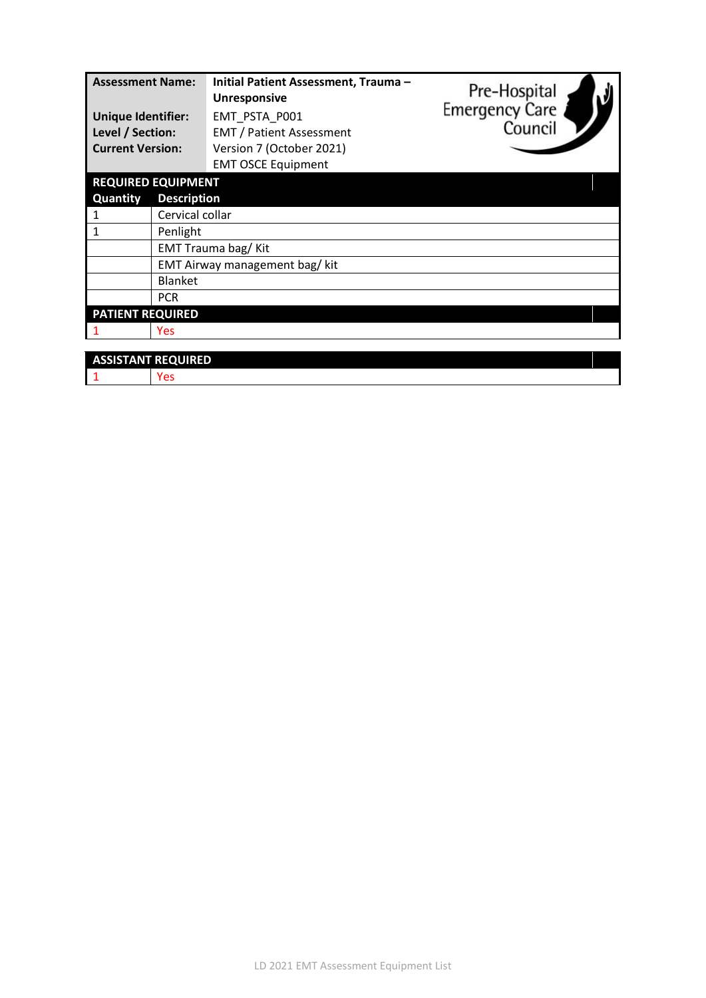| <b>Assessment Name:</b><br><b>Unique Identifier:</b><br>Level / Section:<br><b>Current Version:</b> | Initial Patient Assessment, Trauma-<br><b>Unresponsive</b><br>EMT_PSTA_P001<br><b>EMT / Patient Assessment</b><br>Version 7 (October 2021)<br><b>EMT OSCE Equipment</b> | Pre-Hospital<br>Emergency Care<br>Council |  |
|-----------------------------------------------------------------------------------------------------|-------------------------------------------------------------------------------------------------------------------------------------------------------------------------|-------------------------------------------|--|
| <b>REQUIRED EQUIPMENT</b>                                                                           |                                                                                                                                                                         |                                           |  |
| Quantity                                                                                            | <b>Description</b>                                                                                                                                                      |                                           |  |
|                                                                                                     | Cervical collar                                                                                                                                                         |                                           |  |
| 1                                                                                                   | Penlight                                                                                                                                                                |                                           |  |
| EMT Trauma bag/ Kit                                                                                 |                                                                                                                                                                         |                                           |  |
|                                                                                                     | EMT Airway management bag/ kit                                                                                                                                          |                                           |  |
| <b>Blanket</b>                                                                                      |                                                                                                                                                                         |                                           |  |
| <b>PCR</b>                                                                                          |                                                                                                                                                                         |                                           |  |
| <b>PATIENT REQUIRED</b>                                                                             |                                                                                                                                                                         |                                           |  |
| <b>Yes</b>                                                                                          |                                                                                                                                                                         |                                           |  |
|                                                                                                     |                                                                                                                                                                         |                                           |  |
| <b>ASSISTANT REQUIRED</b>                                                                           |                                                                                                                                                                         |                                           |  |
| Yes                                                                                                 |                                                                                                                                                                         |                                           |  |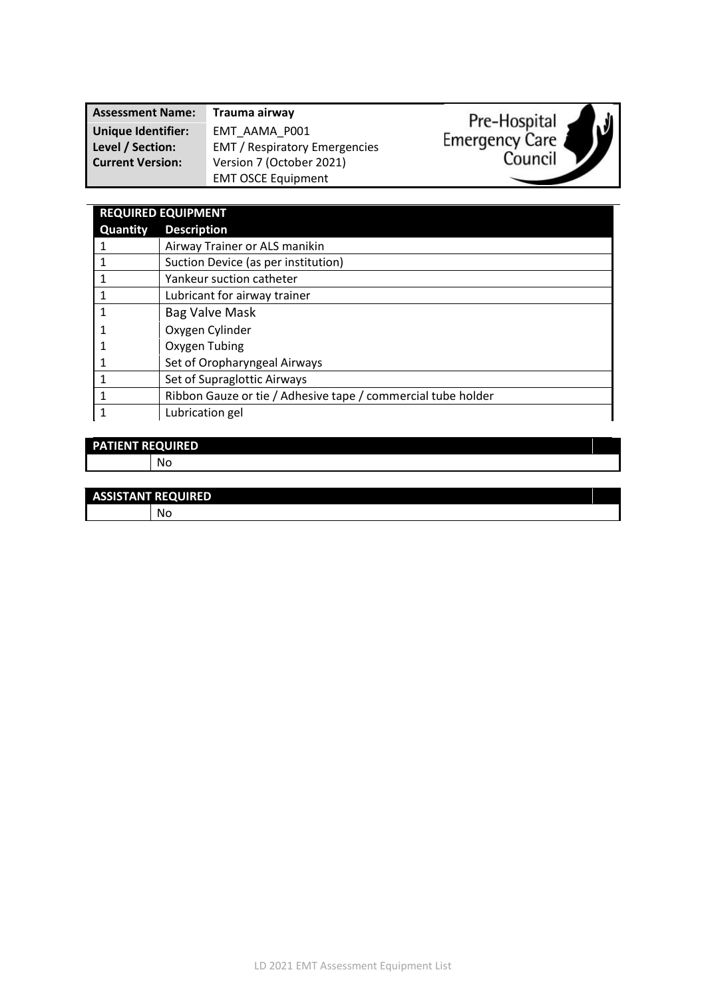| <b>Assessment Name:</b>   | Trauma airway                        | لا،<br>Pre-Hospital |
|---------------------------|--------------------------------------|---------------------|
| <b>Unique Identifier:</b> | EMT AAMA P001                        |                     |
| Level / Section:          | <b>EMT</b> / Respiratory Emergencies | Emergency Care      |
| <b>Current Version:</b>   | Version 7 (October 2021)             | Council             |
|                           | <b>EMT OSCE Equipment</b>            |                     |

| <b>REQUIRED EQUIPMENT</b> |                                                              |  |
|---------------------------|--------------------------------------------------------------|--|
| <b>Quantity</b>           | <b>Description</b>                                           |  |
|                           | Airway Trainer or ALS manikin                                |  |
| 1                         | Suction Device (as per institution)                          |  |
| 1                         | Yankeur suction catheter                                     |  |
|                           | Lubricant for airway trainer                                 |  |
| 1                         | Bag Valve Mask                                               |  |
|                           | Oxygen Cylinder                                              |  |
|                           | Oxygen Tubing                                                |  |
|                           | Set of Oropharyngeal Airways                                 |  |
|                           | Set of Supraglottic Airways                                  |  |
|                           | Ribbon Gauze or tie / Adhesive tape / commercial tube holder |  |
|                           | Lubrication gel                                              |  |

#### **PATIENT REQUIRED** No

**ASSISTANT REQUIRED**

| ASSISTANT NEQUINED |    |
|--------------------|----|
|                    | N. |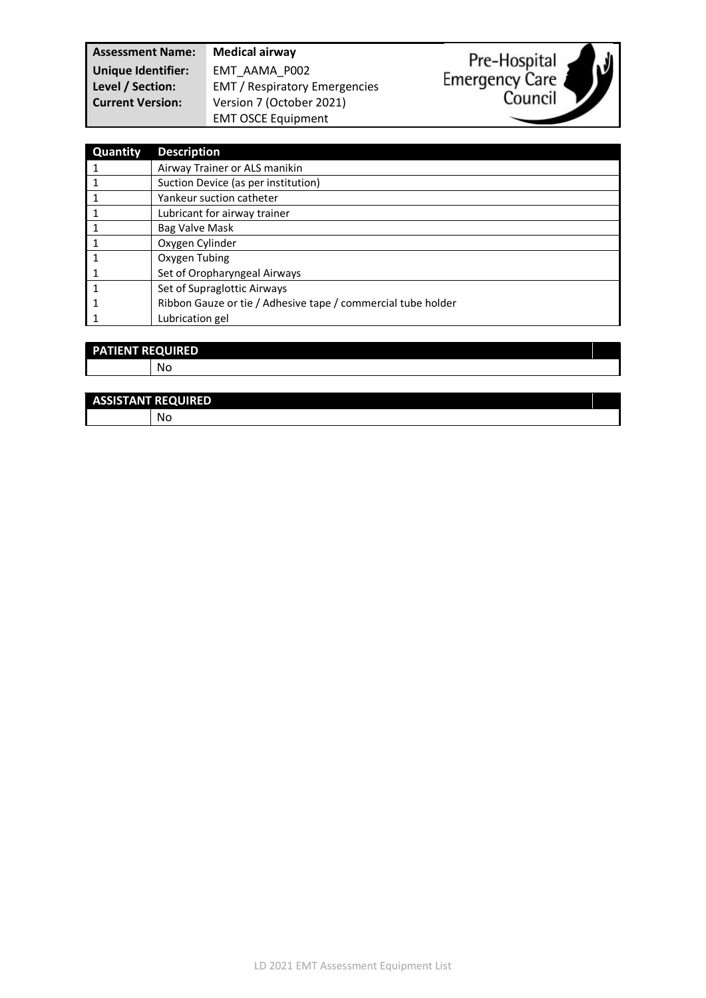**Assessment Name: Medical airway Unique Identifier:** EMT\_AAMA\_P002

**Level / Section:** EMT / Respiratory Emergencies **Current Version:** Version 7 (October 2021) EMT OSCE Equipment



| Quantity | <b>Description</b>                                           |
|----------|--------------------------------------------------------------|
|          | Airway Trainer or ALS manikin                                |
|          | Suction Device (as per institution)                          |
|          | Yankeur suction catheter                                     |
|          | Lubricant for airway trainer                                 |
|          | Bag Valve Mask                                               |
|          | Oxygen Cylinder                                              |
|          | Oxygen Tubing                                                |
|          | Set of Oropharyngeal Airways                                 |
|          | Set of Supraglottic Airways                                  |
|          | Ribbon Gauze or tie / Adhesive tape / commercial tube holder |
|          | Lubrication gel                                              |

| <b>PATIENT REQUIRED</b> |    |  |
|-------------------------|----|--|
|                         | No |  |
|                         |    |  |

| <b>ASSISTANT REQUIRED</b> |  |
|---------------------------|--|
| - No                      |  |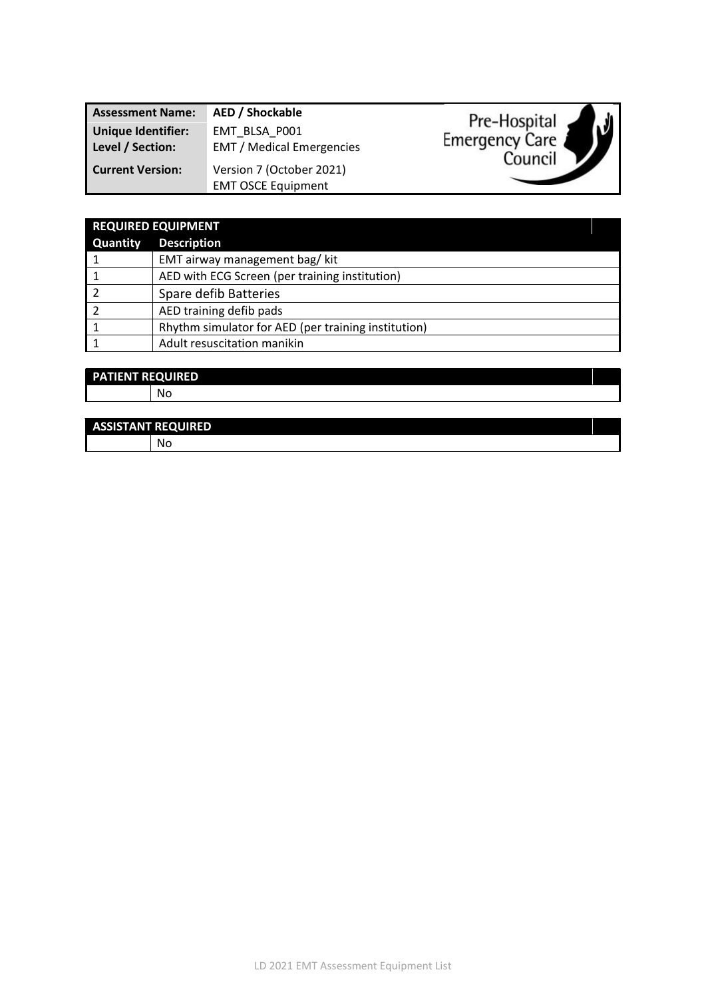| <b>Assessment Name:</b>                       | AED / Shockable                                       |
|-----------------------------------------------|-------------------------------------------------------|
| <b>Unique Identifier:</b><br>Level / Section: | EMT BLSA P001<br><b>EMT</b> / Medical Emergencies     |
| <b>Current Version:</b>                       | Version 7 (October 2021)<br><b>EMT OSCE Equipment</b> |



|                 | <b>REQUIRED EQUIPMENT</b>                           |  |
|-----------------|-----------------------------------------------------|--|
| <b>Quantity</b> | <b>Description</b>                                  |  |
|                 | EMT airway management bag/ kit                      |  |
|                 | AED with ECG Screen (per training institution)      |  |
|                 | Spare defib Batteries                               |  |
|                 | AED training defib pads                             |  |
|                 | Rhythm simulator for AED (per training institution) |  |
|                 | Adult resuscitation manikin                         |  |

#### **PATIENT REQUIRED** No

#### **ASSISTANT REQUIRED**

No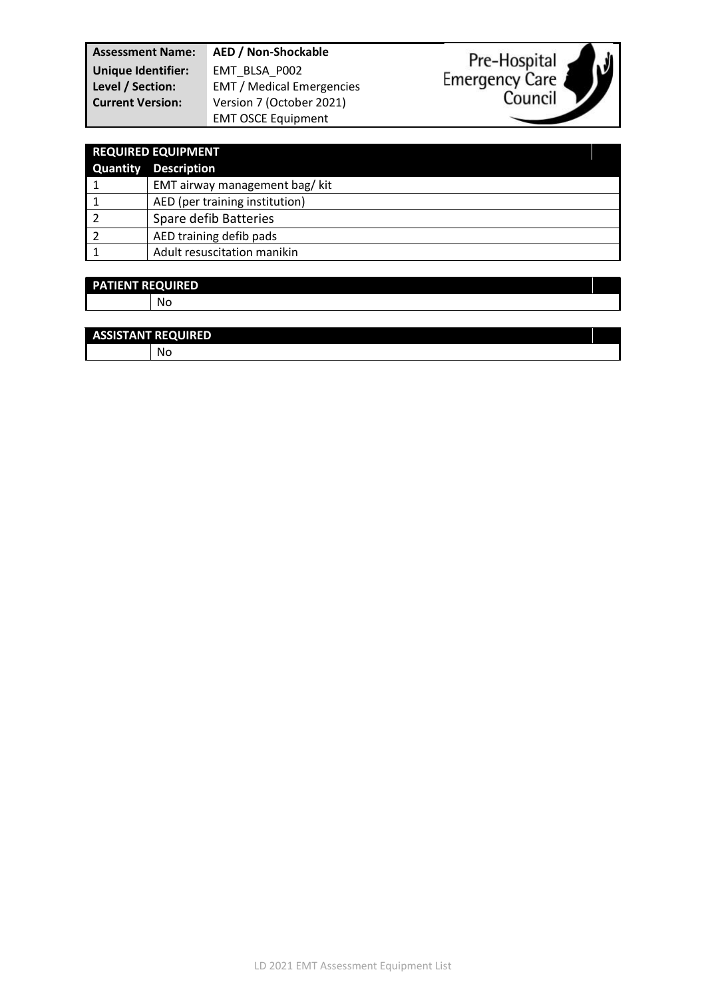**Assessment Name: AED / Non-Shockable Unique Identifier:** EMT\_BLSA\_P002 **Level / Section:** EMT / Medical Emergencies **Current Version:** Version 7 (October 2021) EMT OSCE Equipment



| <b>REQUIRED EQUIPMENT</b>      |  |
|--------------------------------|--|
| <b>Quantity Description</b>    |  |
| EMT airway management bag/ kit |  |
| AED (per training institution) |  |
| Spare defib Batteries          |  |
| AED training defib pads        |  |
| Adult resuscitation manikin    |  |
|                                |  |

### **PATIENT REQUIRED**

No

| <b>ASSISTANT REQUIRED</b> |  |  |
|---------------------------|--|--|
| No                        |  |  |
|                           |  |  |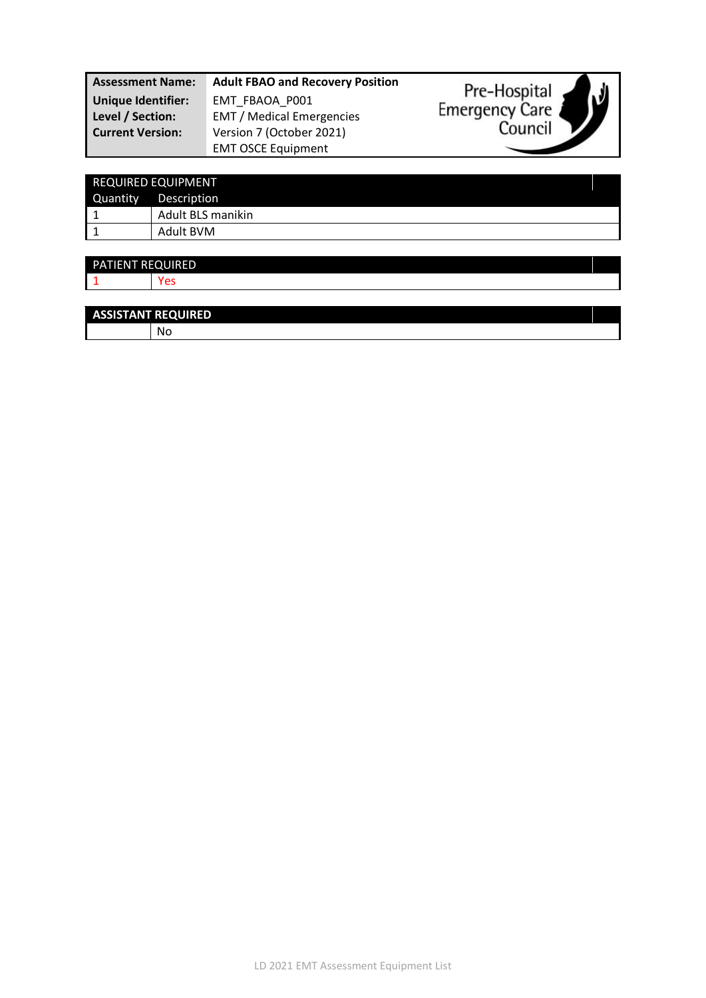| <b>Assessment Name:</b> | <b>Adult FBAO and Recovery Position</b> | Pre-Hospital                |
|-------------------------|-----------------------------------------|-----------------------------|
| Unique Identifier:      | EMT FBAOA P001                          | IJ<br><b>Emergency Care</b> |
| Level / Section:        | <b>EMT</b> / Medical Emergencies        |                             |
| <b>Current Version:</b> | Version 7 (October 2021)                | Council                     |
|                         | <b>EMT OSCE Equipment</b>               |                             |

|          | <b>REQUIRED EQUIPMENT</b> |  |
|----------|---------------------------|--|
| Quantity | Description               |  |
|          | Adult BLS manikin         |  |
|          | Adult BVM                 |  |

| PATIENT REQUIRED |        |  |
|------------------|--------|--|
|                  | $\sim$ |  |
|                  |        |  |

| <b>ASSISTANT REQUIRED</b> |      |  |
|---------------------------|------|--|
|                           | - Nu |  |
|                           |      |  |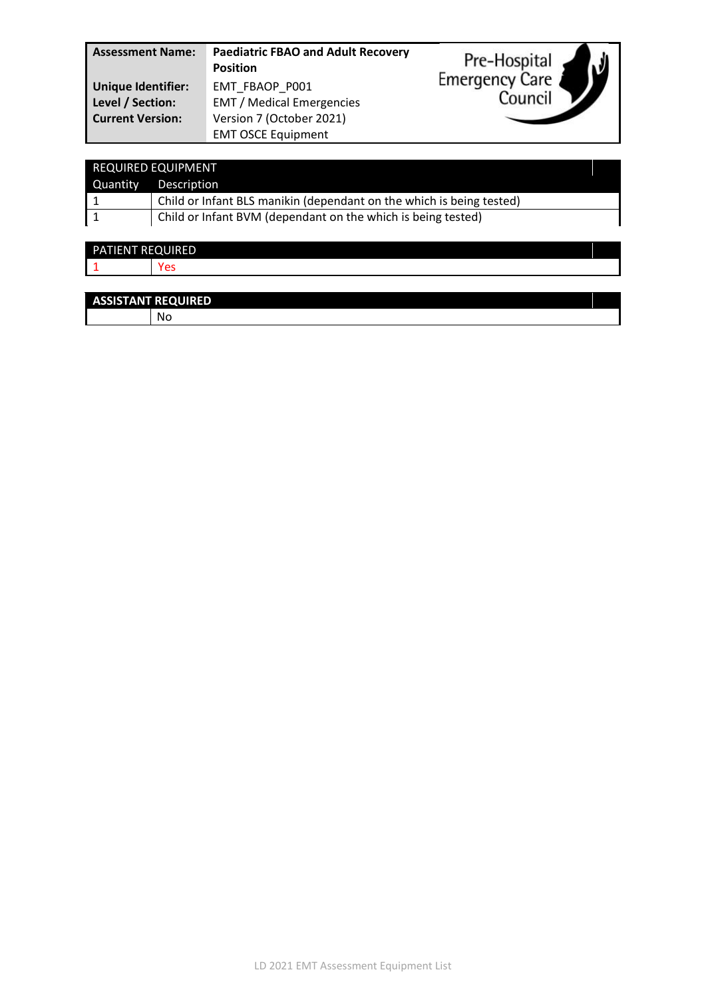| <b>Assessment Name:</b>   | <b>Paediatric FBAO and Adult Recovery</b><br><b>Position</b> | V<br>Pre-Hospital     |
|---------------------------|--------------------------------------------------------------|-----------------------|
| <b>Unique Identifier:</b> | EMT FBAOP P001                                               | <b>Emergency Care</b> |
| Level / Section:          | <b>EMT</b> / Medical Emergencies                             | Council               |
| <b>Current Version:</b>   | Version 7 (October 2021)                                     |                       |
|                           | <b>EMT OSCE Equipment</b>                                    |                       |

| <b>REQUIRED EQUIPMENT</b>                                    |                                                                      |
|--------------------------------------------------------------|----------------------------------------------------------------------|
|                                                              | Quantity Description                                                 |
|                                                              | Child or Infant BLS manikin (dependant on the which is being tested) |
| Child or Infant BVM (dependant on the which is being tested) |                                                                      |

| <b>PATIENT REQUIRED</b> |                  |
|-------------------------|------------------|
|                         | $\sim$<br>_<br>๛ |
|                         |                  |

| <b>ASSISTANT REQUIRED</b> |  |
|---------------------------|--|
| N                         |  |
|                           |  |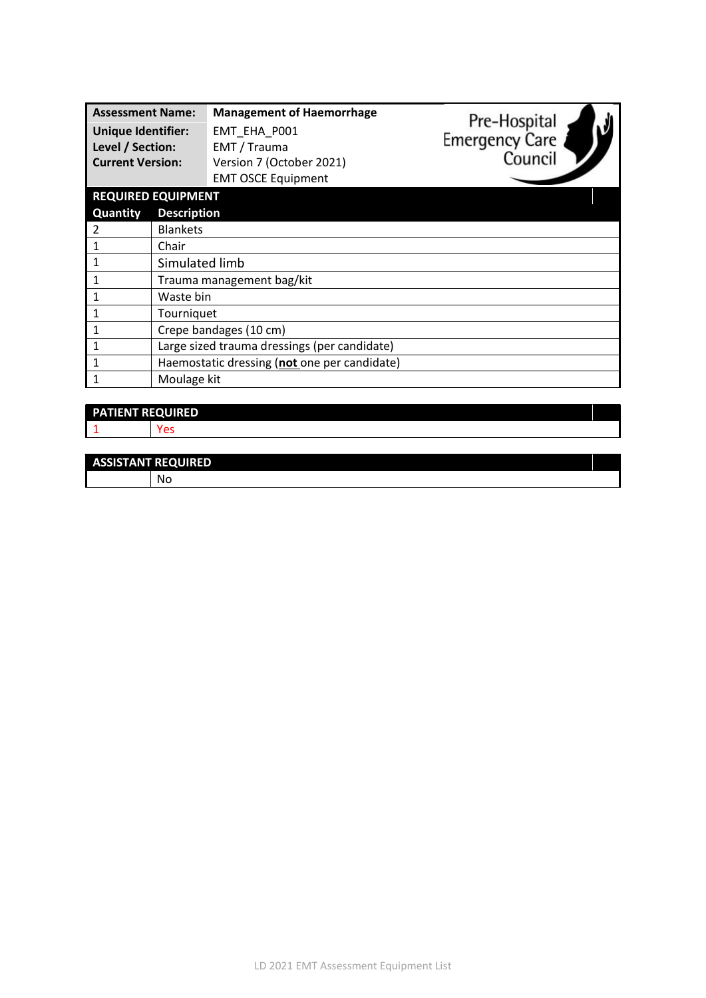| <b>Assessment Name:</b><br><b>Unique Identifier:</b><br>Level / Section:<br><b>Current Version:</b> |                    | <b>Management of Haemorrhage</b><br>EMT_EHA_P001<br>EMT / Trauma<br>Version 7 (October 2021)<br><b>EMT OSCE Equipment</b> | Pre-Hospital<br>Emergency Care<br>Council |
|-----------------------------------------------------------------------------------------------------|--------------------|---------------------------------------------------------------------------------------------------------------------------|-------------------------------------------|
| <b>REQUIRED EQUIPMENT</b>                                                                           |                    |                                                                                                                           |                                           |
| Quantity                                                                                            | <b>Description</b> |                                                                                                                           |                                           |
| 2                                                                                                   | <b>Blankets</b>    |                                                                                                                           |                                           |
| 1                                                                                                   | Chair              |                                                                                                                           |                                           |
| 1                                                                                                   | Simulated limb     |                                                                                                                           |                                           |
| 1                                                                                                   |                    | Trauma management bag/kit                                                                                                 |                                           |
| 1                                                                                                   | Waste bin          |                                                                                                                           |                                           |
| $\mathbf{1}$                                                                                        | Tourniquet         |                                                                                                                           |                                           |
|                                                                                                     |                    | Crepe bandages (10 cm)                                                                                                    |                                           |
| $\mathbf{1}$                                                                                        |                    | Large sized trauma dressings (per candidate)                                                                              |                                           |
| 1                                                                                                   |                    | Haemostatic dressing (not one per candidate)                                                                              |                                           |
| Moulage kit<br>1                                                                                    |                    |                                                                                                                           |                                           |

## **PATIENT REQUIRED**

1 Yes

#### **ASSISTANT REQUIRED**

No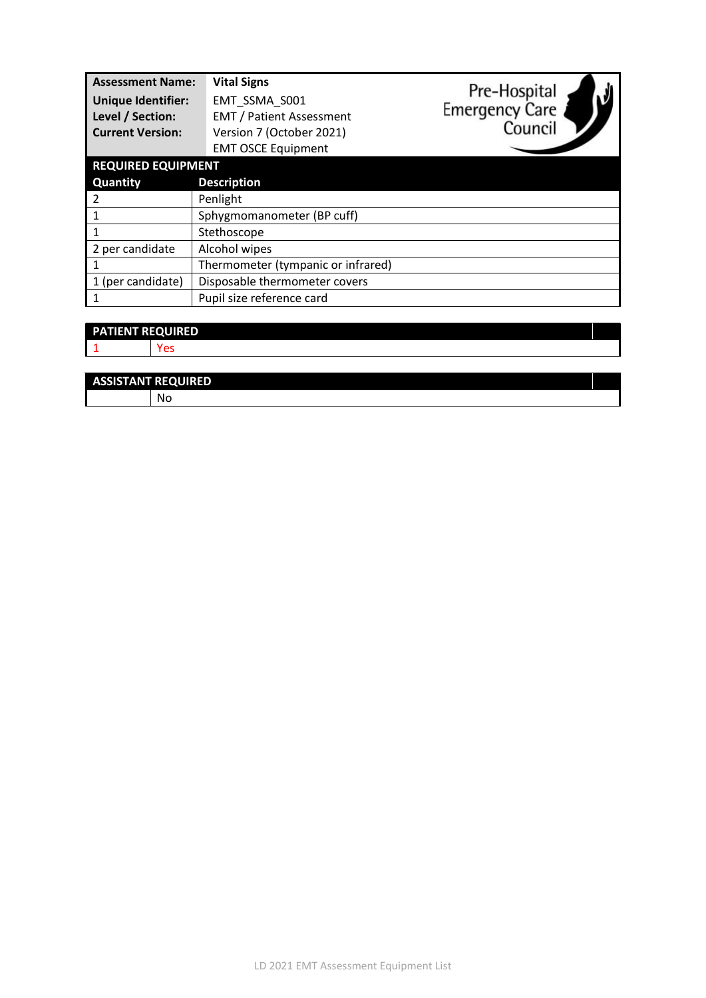| <b>Assessment Name:</b><br><b>Unique Identifier:</b><br>Level / Section:<br><b>Current Version:</b> | <b>Vital Signs</b><br>EMT SSMA S001<br><b>EMT / Patient Assessment</b><br>Version 7 (October 2021)<br><b>EMT OSCE Equipment</b> | Pre-Hospital<br><b>Emergency Care</b><br>Council |
|-----------------------------------------------------------------------------------------------------|---------------------------------------------------------------------------------------------------------------------------------|--------------------------------------------------|
| <b>REQUIRED EQUIPMENT</b>                                                                           |                                                                                                                                 |                                                  |
| <b>Quantity</b>                                                                                     | <b>Description</b>                                                                                                              |                                                  |
| 2                                                                                                   | Penlight                                                                                                                        |                                                  |
|                                                                                                     | Sphygmomanometer (BP cuff)                                                                                                      |                                                  |
|                                                                                                     | Stethoscope                                                                                                                     |                                                  |
| 2 per candidate                                                                                     | Alcohol wipes                                                                                                                   |                                                  |
|                                                                                                     | Thermometer (tympanic or infrared)                                                                                              |                                                  |
| 1 (per candidate)                                                                                   | Disposable thermometer covers                                                                                                   |                                                  |
|                                                                                                     | Pupil size reference card                                                                                                       |                                                  |

| <b>PATIENT REQUIRED</b> |  |
|-------------------------|--|
|                         |  |
|                         |  |

| <b>ASSISTANT REQUIRED</b> |
|---------------------------|
| N                         |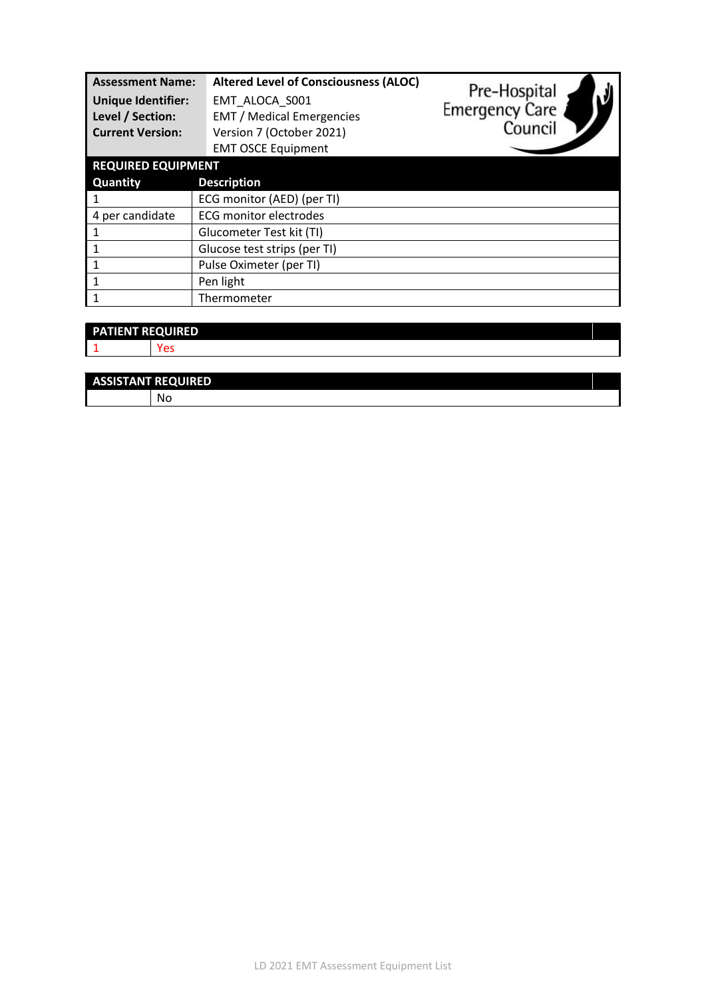| <b>Assessment Name:</b><br><b>Unique Identifier:</b><br>Level / Section:<br><b>Current Version:</b><br><b>REQUIRED EQUIPMENT</b> | <b>Altered Level of Consciousness (ALOC)</b><br>EMT ALOCA S001<br><b>EMT / Medical Emergencies</b><br>Version 7 (October 2021)<br><b>EMT OSCE Equipment</b> | Pre-Hospital<br><b>Emergency Care</b><br>Council |
|----------------------------------------------------------------------------------------------------------------------------------|-------------------------------------------------------------------------------------------------------------------------------------------------------------|--------------------------------------------------|
| <b>Quantity</b>                                                                                                                  | <b>Description</b>                                                                                                                                          |                                                  |
|                                                                                                                                  | ECG monitor (AED) (per TI)                                                                                                                                  |                                                  |
| 4 per candidate                                                                                                                  | <b>ECG monitor electrodes</b>                                                                                                                               |                                                  |
|                                                                                                                                  | Glucometer Test kit (TI)                                                                                                                                    |                                                  |
|                                                                                                                                  | Glucose test strips (per TI)                                                                                                                                |                                                  |
|                                                                                                                                  | Pulse Oximeter (per TI)                                                                                                                                     |                                                  |
| 1                                                                                                                                | Pen light                                                                                                                                                   |                                                  |
|                                                                                                                                  | Thermometer                                                                                                                                                 |                                                  |

| <b>PATIENT REQUIRED</b> |        |
|-------------------------|--------|
|                         | $\sim$ |
|                         |        |

| <b>ASSISTANT REQUIRED</b> |  |  |  |
|---------------------------|--|--|--|
| 'NC                       |  |  |  |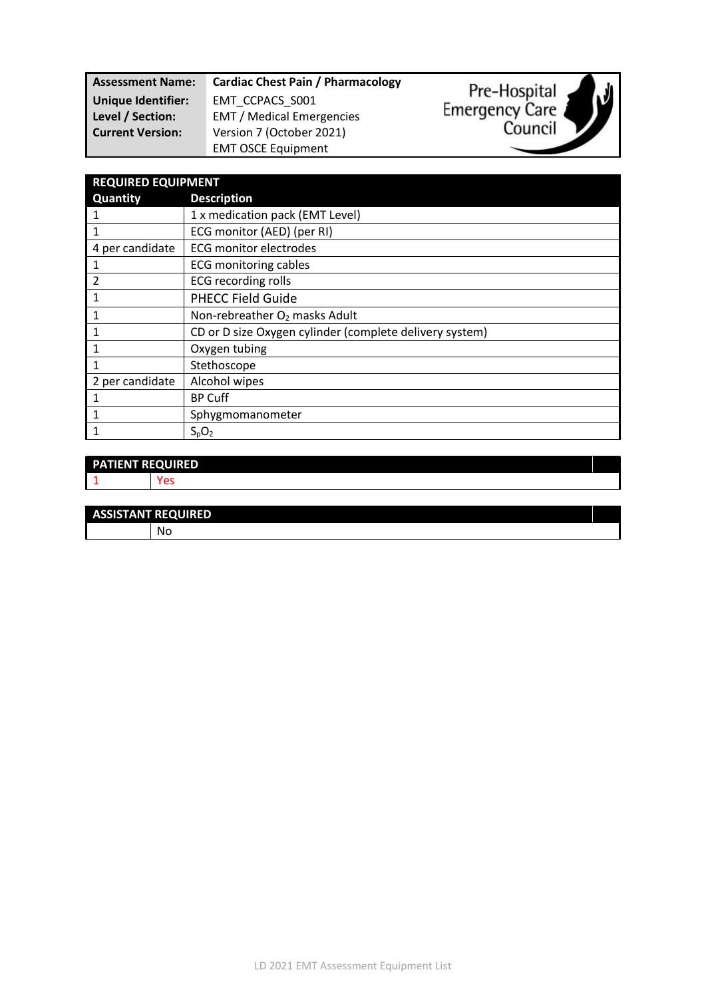| <b>Assessment Name:</b> | <b>Cardiac Chest Pain / Pharmacology</b> |
|-------------------------|------------------------------------------|
| Unique Identifier:      | EMT CCPACS S001                          |
| Level / Section:        | <b>EMT</b> / Medical Emergencies         |
| <b>Current Version:</b> | Version 7 (October 2021)                 |
|                         | <b>EMT OSCE Equipment</b>                |



Pre-Hospital

Emergency Care

V

# **PATIENT REQUIRED** 1 Yes **ASSISTANT REQUIRED** No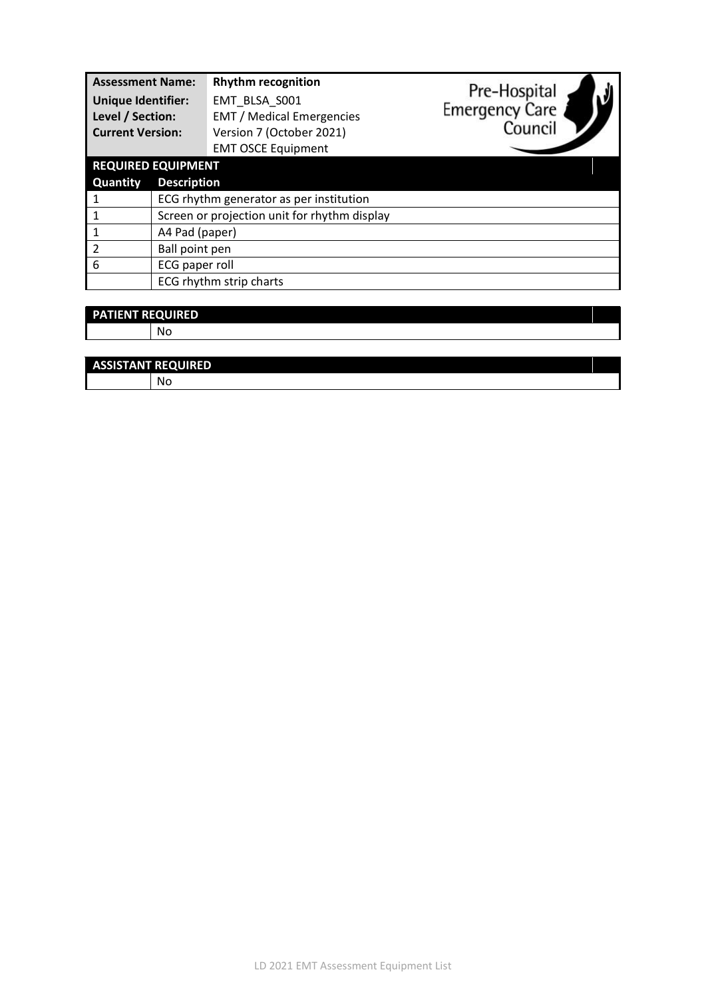| <b>Assessment Name:</b>   |                                              | <b>Rhythm recognition</b>        | Pre-Hospital          |
|---------------------------|----------------------------------------------|----------------------------------|-----------------------|
| <b>Unique Identifier:</b> |                                              | EMT BLSA S001                    | <b>Emergency Care</b> |
| Level / Section:          |                                              | <b>EMT</b> / Medical Emergencies |                       |
| <b>Current Version:</b>   |                                              | Version 7 (October 2021)         | Council               |
|                           |                                              | <b>EMT OSCE Equipment</b>        |                       |
| <b>REQUIRED EQUIPMENT</b> |                                              |                                  |                       |
| <b>Quantity</b>           | <b>Description</b>                           |                                  |                       |
|                           | ECG rhythm generator as per institution      |                                  |                       |
|                           | Screen or projection unit for rhythm display |                                  |                       |
|                           | A4 Pad (paper)                               |                                  |                       |
| $\overline{2}$            | Ball point pen                               |                                  |                       |
| 6                         | ECG paper roll                               |                                  |                       |
|                           |                                              | ECG rhythm strip charts          |                       |
|                           |                                              |                                  |                       |

| <b>PATIENT REQUIRED</b> |    |  |
|-------------------------|----|--|
|                         | No |  |
|                         |    |  |

| <b>ASSISTANT REQUIRED</b> |  |  |  |  |
|---------------------------|--|--|--|--|
|                           |  |  |  |  |
|                           |  |  |  |  |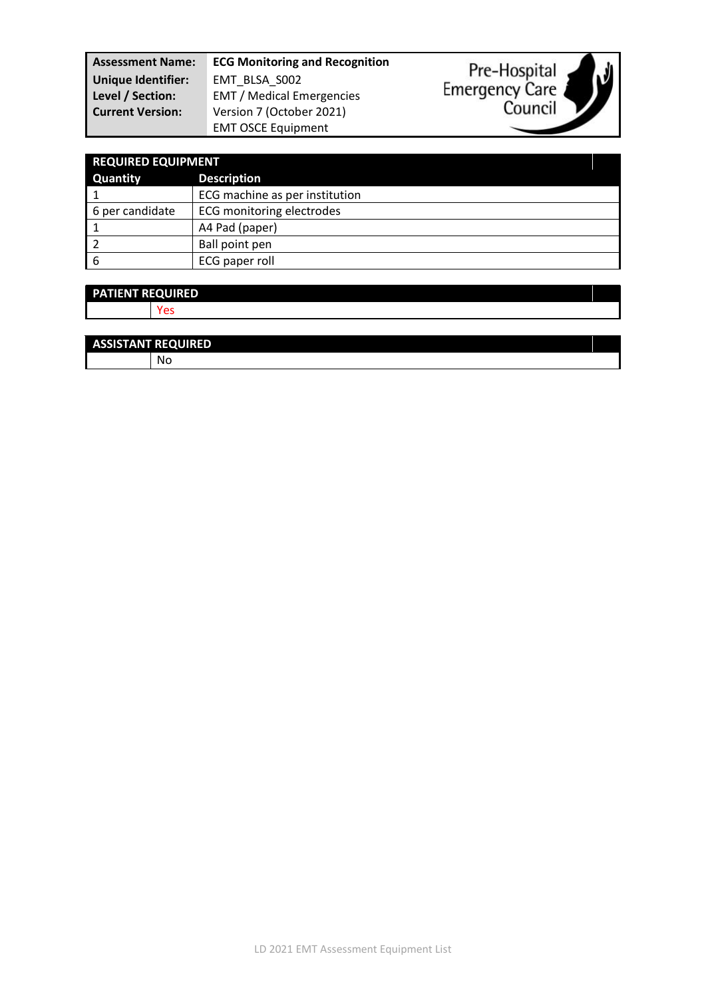| <b>Assessment Name:</b>   | <b>ECG Monitoring and Recognition</b> | Pre-Hospital          |
|---------------------------|---------------------------------------|-----------------------|
| <b>Unique Identifier:</b> | EMT BLSA S002                         |                       |
| Level / Section:          | <b>EMT</b> / Medical Emergencies      | <b>Emergency Care</b> |
| <b>Current Version:</b>   | Version 7 (October 2021)              | Council               |
|                           | <b>EMT OSCE Equipment</b>             |                       |

y

| <b>REQUIRED EQUIPMENT</b> |                                  |  |
|---------------------------|----------------------------------|--|
| <b>Quantity</b>           | <b>Description</b>               |  |
|                           | ECG machine as per institution   |  |
| 6 per candidate           | <b>ECG monitoring electrodes</b> |  |
|                           | A4 Pad (paper)                   |  |
|                           | Ball point pen                   |  |
| 6                         | ECG paper roll                   |  |

| <b>PATIENT REQUIRED</b> |     |
|-------------------------|-----|
|                         | Yes |
|                         |     |
| ----------------        |     |

| <b>ASSISTANT REQUIRED</b> |    |
|---------------------------|----|
|                           | Nс |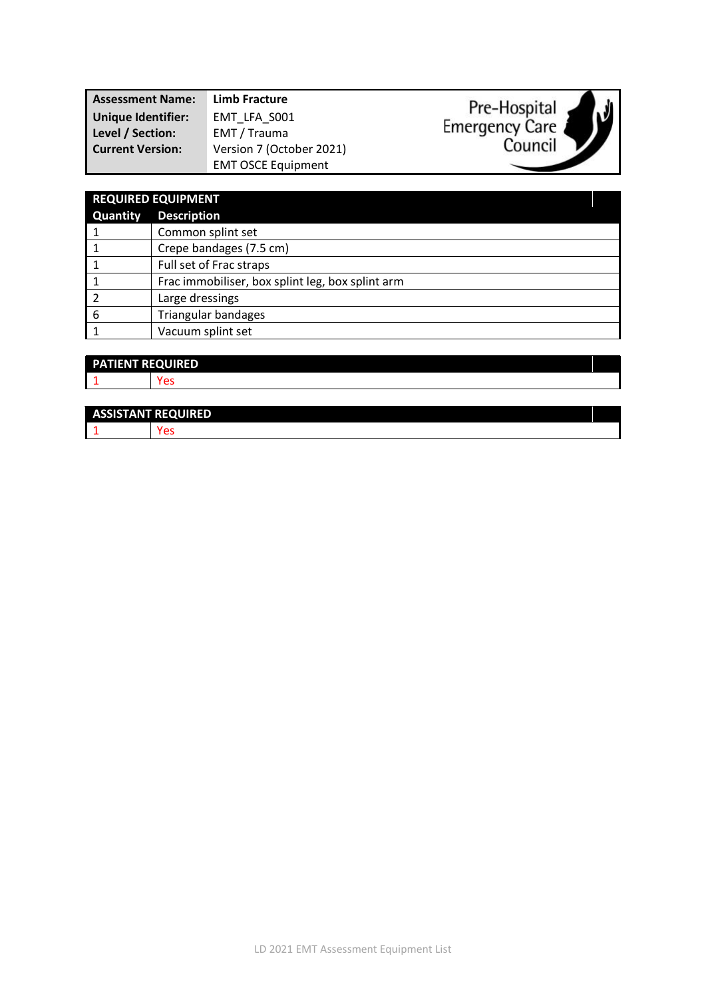| <b>Assessment Name:</b> | Limb Fracture             | Pre-Hospital   |  |
|-------------------------|---------------------------|----------------|--|
| Unique Identifier:      | EMT LFA S001              |                |  |
| Level / Section:        | EMT / Trauma              | Emergency Care |  |
| <b>Current Version:</b> | Version 7 (October 2021)  | Council        |  |
|                         | <b>EMT OSCE Equipment</b> |                |  |
|                         |                           |                |  |

| <b>REQUIRED EQUIPMENT</b> |                                                  |  |
|---------------------------|--------------------------------------------------|--|
| Quantity                  | <b>Description</b>                               |  |
|                           | Common splint set                                |  |
|                           | Crepe bandages (7.5 cm)                          |  |
|                           | Full set of Frac straps                          |  |
|                           | Frac immobiliser, box splint leg, box splint arm |  |
|                           | Large dressings                                  |  |
| 6                         | <b>Triangular bandages</b>                       |  |
|                           | Vacuum splint set                                |  |

| <b>PATIENT REQUIRED</b> |  |
|-------------------------|--|
| - 4                     |  |
|                         |  |

| <b>ASSISTANT REQUIRED</b> |  |
|---------------------------|--|
|                           |  |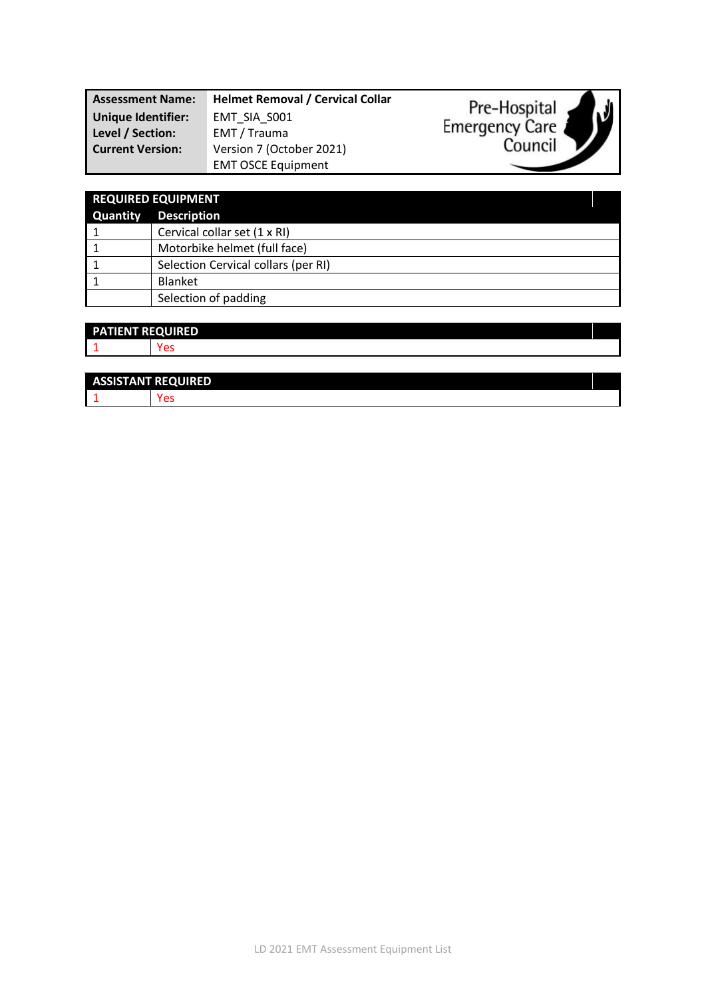| <b>Assessment Name:</b>                       | <b>Helmet Removal / Cervical Collar</b> | Pre-Hospital                        |
|-----------------------------------------------|-----------------------------------------|-------------------------------------|
| <b>Unique Identifier:</b><br>Level / Section: | EMT SIA S001<br>EMT / Trauma            | $\sqrt{ }$<br><b>Emergency Care</b> |
| <b>Current Version:</b>                       | Version 7 (October 2021)                | Council                             |
|                                               | <b>EMT OSCE Equipment</b>               |                                     |

| <b>REQUIRED EQUIPMENT</b> |                                     |
|---------------------------|-------------------------------------|
| <b>Quantity</b>           | <b>Description</b>                  |
|                           | Cervical collar set (1 x RI)        |
|                           | Motorbike helmet (full face)        |
|                           | Selection Cervical collars (per RI) |
|                           | <b>Blanket</b>                      |
|                           | Selection of padding                |

| <b>PATIENT REQUIRED</b> |  |
|-------------------------|--|
|                         |  |
|                         |  |

| <b>ASSISTANT REQUIRED</b> |  |  |
|---------------------------|--|--|
|                           |  |  |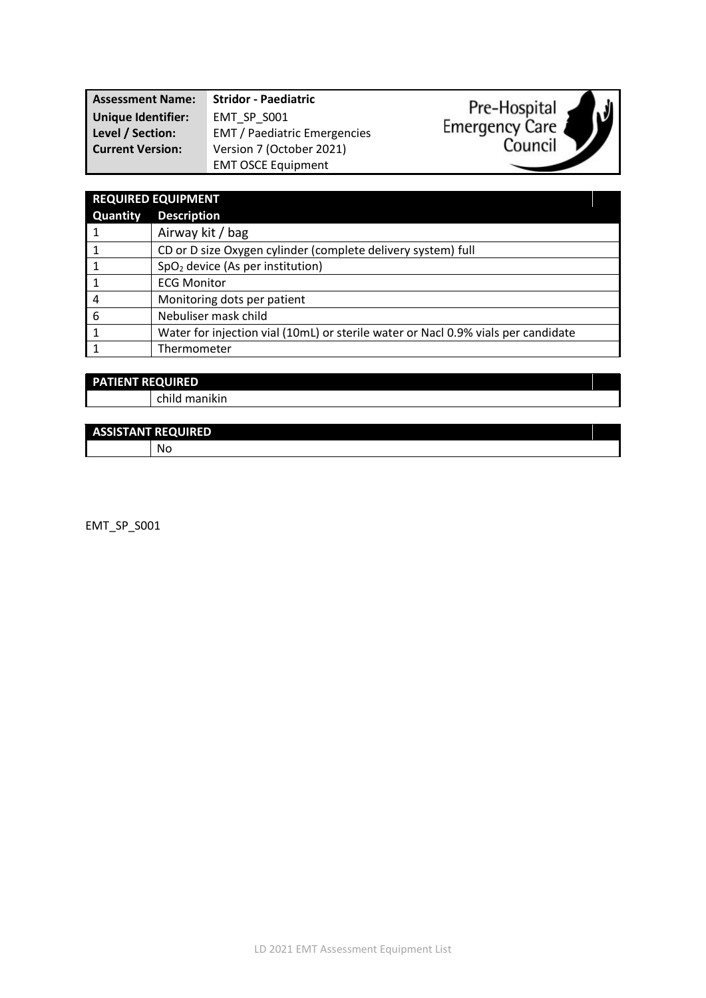| <b>Assessment Name:</b>   | <b>Stridor - Paediatric</b>         | Pre-Hospital   |
|---------------------------|-------------------------------------|----------------|
| <b>Unique Identifier:</b> | EMT SP S001                         | ハリ             |
| Level / Section:          | <b>EMT</b> / Paediatric Emergencies | Emergency Care |
| <b>Current Version:</b>   | Version 7 (October 2021)            | Council        |
|                           | <b>EMT OSCE Equipment</b>           |                |

| <b>REQUIRED EQUIPMENT</b> |                                                                                   |  |
|---------------------------|-----------------------------------------------------------------------------------|--|
| <b>Quantity</b>           | <b>Description</b>                                                                |  |
|                           | Airway kit / bag                                                                  |  |
|                           | CD or D size Oxygen cylinder (complete delivery system) full                      |  |
|                           | SpO <sub>2</sub> device (As per institution)                                      |  |
|                           | <b>ECG Monitor</b>                                                                |  |
| 4                         | Monitoring dots per patient                                                       |  |
| 6                         | Nebuliser mask child                                                              |  |
|                           | Water for injection vial (10mL) or sterile water or Nacl 0.9% vials per candidate |  |
|                           | Thermometer                                                                       |  |

| <b>PATIENT REQUIRED</b> |               |
|-------------------------|---------------|
|                         | child manikin |
|                         |               |

#### **ASSISTANT REQUIRED** No

EMT\_SP\_S001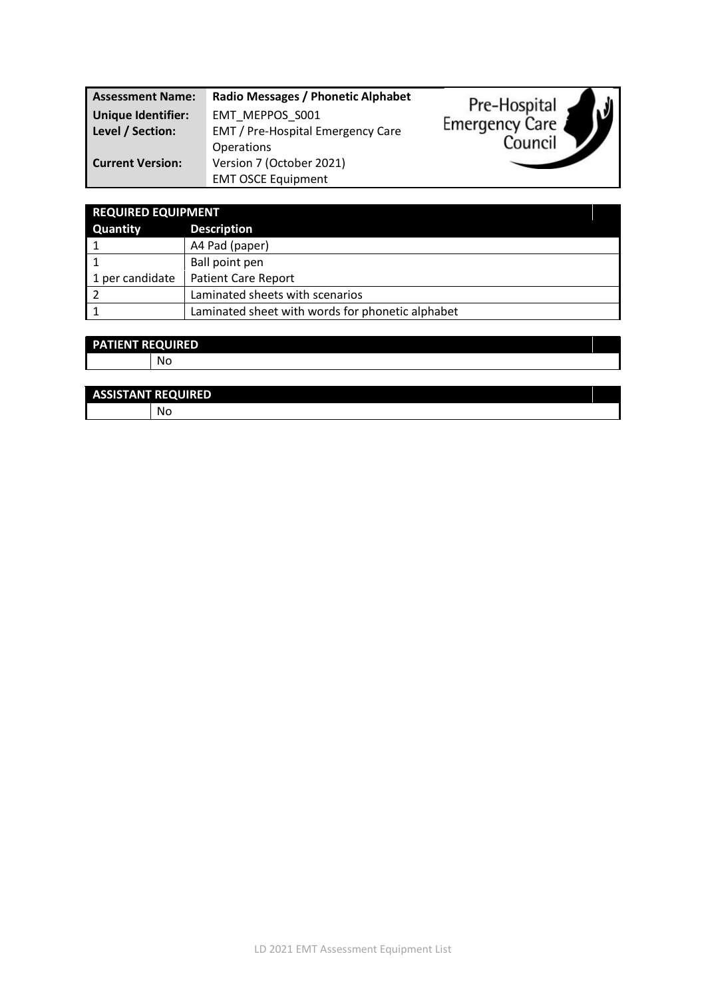| <b>Assessment Name:</b>   | Radio Messages / Phonetic Alphabet | Pre-Hospital          |
|---------------------------|------------------------------------|-----------------------|
| <b>Unique Identifier:</b> | EMT MEPPOS S001                    |                       |
| Level / Section:          | EMT / Pre-Hospital Emergency Care  | <b>Emergency Care</b> |
|                           | <b>Operations</b>                  | Council               |
| <b>Current Version:</b>   | Version 7 (October 2021)           |                       |
|                           | <b>EMT OSCE Equipment</b>          |                       |

| <b>REQUIRED EQUIPMENT</b> |                                                  |  |
|---------------------------|--------------------------------------------------|--|
| <b>Quantity</b>           | <b>Description</b>                               |  |
|                           | A4 Pad (paper)                                   |  |
|                           | Ball point pen                                   |  |
| 1 per candidate           | <b>Patient Care Report</b>                       |  |
|                           | Laminated sheets with scenarios                  |  |
|                           | Laminated sheet with words for phonetic alphabet |  |

| <b>PATIENT REQUIRED</b> |    |  |
|-------------------------|----|--|
|                         | No |  |
|                         |    |  |

| <b>ASSISTANT REQUIRED</b> |
|---------------------------|
| NC.                       |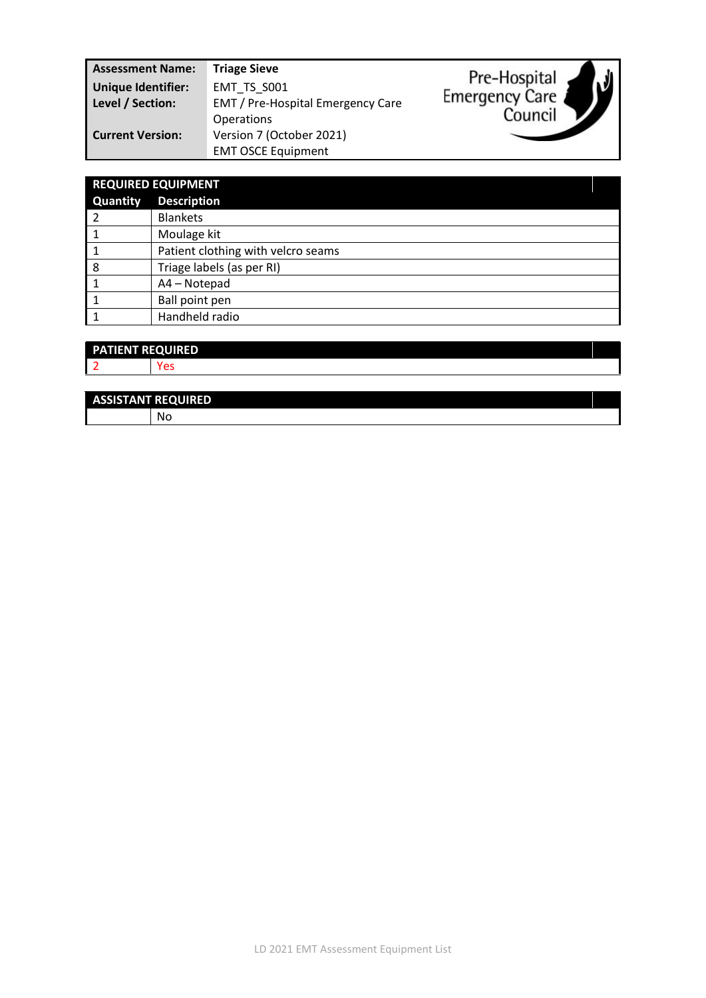| <b>Assessment Name:</b>   | <b>Triage Sieve</b>               | ار .                  |
|---------------------------|-----------------------------------|-----------------------|
| <b>Unique Identifier:</b> | EMT TS S001                       | Pre-Hospital          |
| Level / Section:          | EMT / Pre-Hospital Emergency Care | <b>Emergency Care</b> |
|                           | <b>Operations</b>                 | Council               |
| <b>Current Version:</b>   | Version 7 (October 2021)          |                       |
|                           | <b>EMT OSCE Equipment</b>         |                       |

| <b>REQUIRED EQUIPMENT</b> |                                    |  |
|---------------------------|------------------------------------|--|
| Quantity                  | <b>Description</b>                 |  |
|                           | <b>Blankets</b>                    |  |
|                           | Moulage kit                        |  |
|                           | Patient clothing with velcro seams |  |
| 8                         | Triage labels (as per RI)          |  |
|                           | A4 - Notepad                       |  |
|                           | Ball point pen                     |  |
|                           | Handheld radio                     |  |

| <b>PATIENT REQUIRED</b>  |  |
|--------------------------|--|
| $\overline{\phantom{a}}$ |  |

| <b>ASSISTANT REQUIRED</b> |      |
|---------------------------|------|
|                           | - Nu |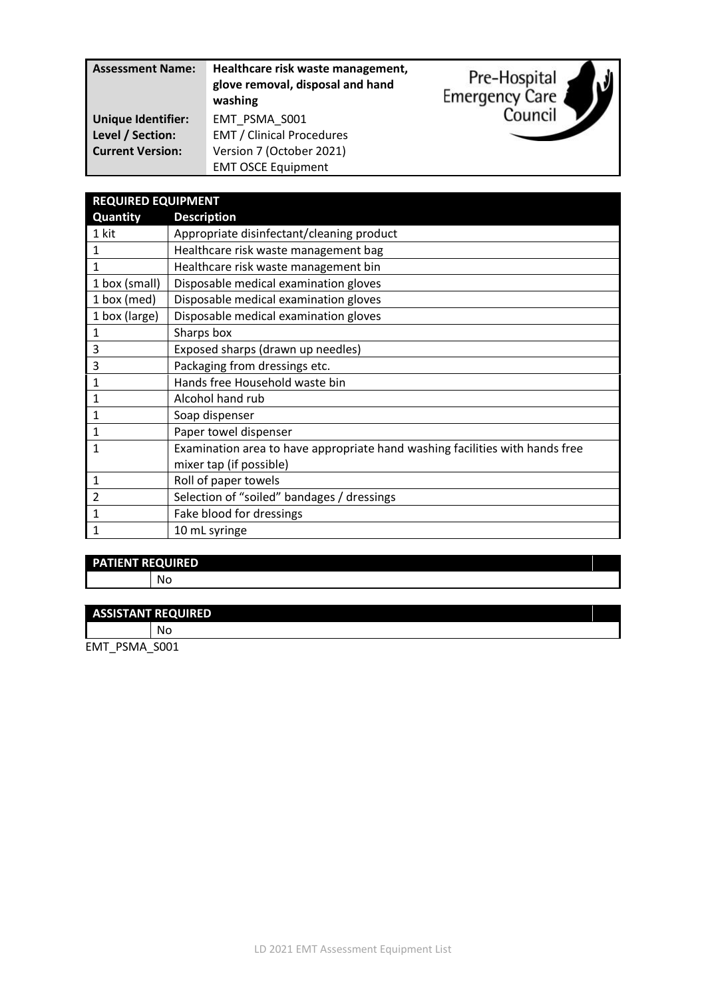| <b>Assessment Name:</b>   | Healthcare risk waste management,<br>glove removal, disposal and hand<br>washing | Pre-Hospital<br><b>Emergency Care</b> |
|---------------------------|----------------------------------------------------------------------------------|---------------------------------------|
| <b>Unique Identifier:</b> | EMT PSMA S001                                                                    | Council                               |
| Level / Section:          | <b>EMT / Clinical Procedures</b>                                                 |                                       |
| <b>Current Version:</b>   | Version 7 (October 2021)                                                         |                                       |
|                           | <b>EMT OSCE Equipment</b>                                                        |                                       |

| <b>REQUIRED EQUIPMENT</b> |                                                                              |  |
|---------------------------|------------------------------------------------------------------------------|--|
| Quantity                  | <b>Description</b>                                                           |  |
| 1 kit                     | Appropriate disinfectant/cleaning product                                    |  |
| 1                         | Healthcare risk waste management bag                                         |  |
| $\mathbf{1}$              | Healthcare risk waste management bin                                         |  |
| 1 box (small)             | Disposable medical examination gloves                                        |  |
| 1 box (med)               | Disposable medical examination gloves                                        |  |
| 1 box (large)             | Disposable medical examination gloves                                        |  |
| 1                         | Sharps box                                                                   |  |
| 3                         | Exposed sharps (drawn up needles)                                            |  |
| 3                         | Packaging from dressings etc.                                                |  |
| $\mathbf{1}$              | Hands free Household waste bin                                               |  |
| $\mathbf{1}$              | Alcohol hand rub                                                             |  |
| 1                         | Soap dispenser                                                               |  |
| 1                         | Paper towel dispenser                                                        |  |
| 1                         | Examination area to have appropriate hand washing facilities with hands free |  |
|                           | mixer tap (if possible)                                                      |  |
| $\mathbf{1}$              | Roll of paper towels                                                         |  |
| $\overline{2}$            | Selection of "soiled" bandages / dressings                                   |  |
| 1                         | Fake blood for dressings                                                     |  |
| 1                         | 10 mL syringe                                                                |  |

# **PATIENT REQUIRED**

No

#### **ASSISTANT REQUIRED**

No

EMT\_PSMA\_S001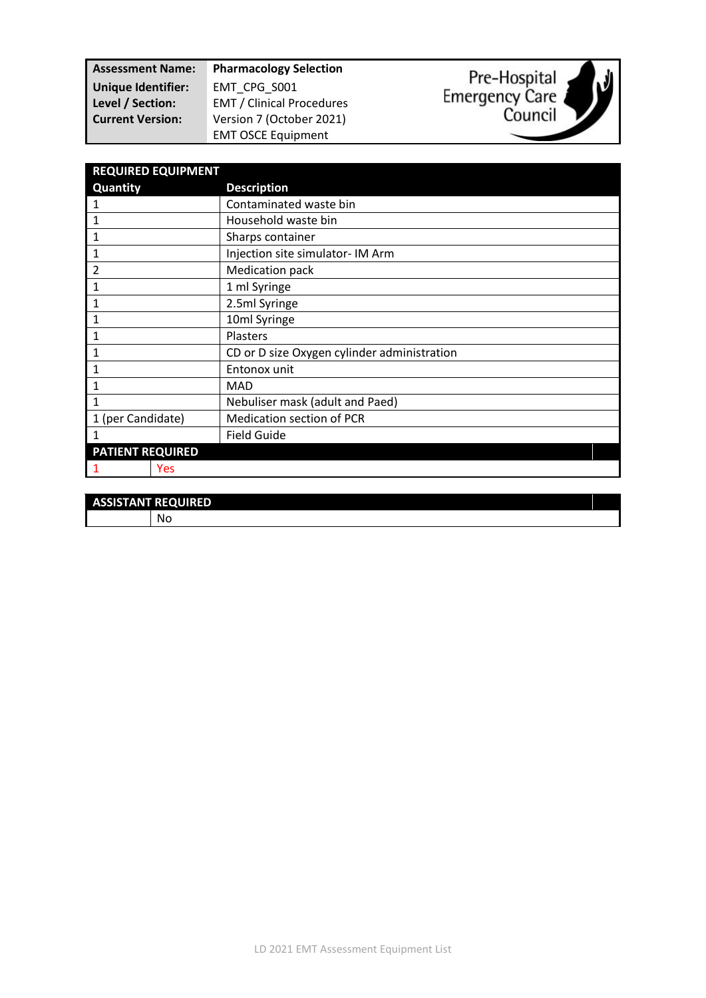| <b>Assessment Name:</b>   | <b>Pharmacology Selection</b>    |
|---------------------------|----------------------------------|
| <b>Unique Identifier:</b> | EMT CPG S001                     |
| Level / Section:          | <b>EMT / Clinical Procedures</b> |
| <b>Current Version:</b>   | Version 7 (October 2021)         |
|                           | <b>EMT OSCE Equipment</b>        |





| <b>REQUIRED EQUIPMENT</b> |                                             |
|---------------------------|---------------------------------------------|
| Quantity                  | <b>Description</b>                          |
| 1                         | Contaminated waste bin                      |
| $\mathbf{1}$              | Household waste bin                         |
| 1                         | Sharps container                            |
| 1                         | Injection site simulator- IM Arm            |
| 2                         | Medication pack                             |
| 1                         | 1 ml Syringe                                |
| 1                         | 2.5ml Syringe                               |
| 1                         | 10ml Syringe                                |
| 1                         | Plasters                                    |
| 1                         | CD or D size Oxygen cylinder administration |
| 1                         | Entonox unit                                |
| 1                         | <b>MAD</b>                                  |
| $\mathbf{1}$              | Nebuliser mask (adult and Paed)             |
| 1 (per Candidate)         | <b>Medication section of PCR</b>            |
| 1                         | <b>Field Guide</b>                          |
| <b>PATIENT REQUIRED</b>   |                                             |
| Yes                       |                                             |

| <b>ASSISTANT REQUIRED</b> |   |  |  |
|---------------------------|---|--|--|
|                           | N |  |  |
|                           |   |  |  |